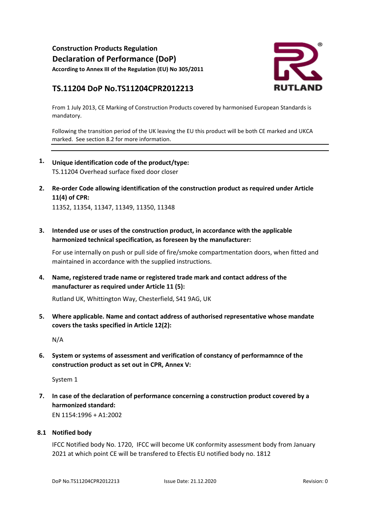**Construction Products Regulation Declaration of Performance (DoP) According to Annex III of the Regulation (EU) No 305/2011**

# **TS.11204 DoP No.TS11204CPR2012213**



From 1 July 2013, CE Marking of Construction Products covered by harmonised European Standards is mandatory.

Following the transition period of the UK leaving the EU this product will be both CE marked and UKCA marked. See section 8.2 for more information.

- **1. Unique identification code of the product/type:** TS.11204 Overhead surface fixed door closer
- **2. Re-order Code allowing identification of the construction product as required under Article**  11352, 11354, 11347, 11349, 11350, 11348 **11(4) of CPR:**
- **3. Intended use or uses of the construction product, in accordance with the applicable harmonized technical specification, as foreseen by the manufacturer:**

For use internally on push or pull side of fire/smoke compartmentation doors, when fitted and maintained in accordance with the supplied instructions.

**4. Name, registered trade name or registered trade mark and contact address of the manufacturer as required under Article 11 (5):**

Rutland UK, Whittington Way, Chesterfield, S41 9AG, UK

**5. Where applicable. Name and contact address of authorised representative whose mandate covers the tasks specified in Article 12(2):**

N/A

**6. System or systems of assessment and verification of constancy of performamnce of the construction product as set out in CPR, Annex V:**

System 1

**7. In case of the declaration of performance concerning a construction product covered by a harmonized standard:** EN 1154:1996 + A1:2002

#### **8.1 Notified body**

IFCC Notified body No. 1720, IFCC will become UK conformity assessment body from January 2021 at which point CE will be transfered to Efectis EU notified body no. 1812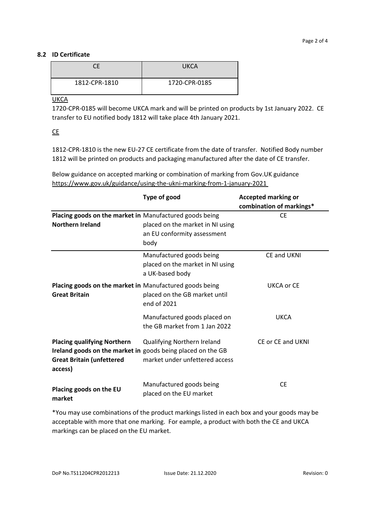### **8.2 ID Certificate**

| าF            | <b>UKCA</b>   |
|---------------|---------------|
| 1812-CPR-1810 | 1720-CPR-0185 |

**UKCA** 

1720-CPR-0185 will become UKCA mark and will be printed on products by 1st January 2022. CE transfer to EU notified body 1812 will take place 4th January 2021.

CE

1812-CPR-1810 is the new EU-27 CE certificate from the date of transfer. Notified Body number 1812 will be printed on products and packaging manufactured after the date of CE transfer.

**Type of good Accepted marking or combination of markings\* Placing goods on the market in**  Manufactured goods being **Northern Ireland** placed on the market in NI using an EU conformity assessment body **CE** Manufactured goods being placed on the market in NI using a UK-based body CE and UKNI **Placing goods on the market in**  Manufactured goods being **Great Britain** placed on the GB market until end of 2021 UKCA or CE Manufactured goods placed on the GB market from 1 Jan 2022 UKCA **Placing qualifying Northern Ireland goods on the market in**  goods being placed on the GB **Great Britain (unfettered access)** Qualifying Northern Ireland market under unfettered access CE or CE and UKNI **Placing goods on the EU**  Manufactured goods being CE

Below guidance on accepted marking or combination of marking from Gov.UK guidance https://www.gov.uk/guidance/using-the-ukni-marking-from-1-january-2021

\*You may use combinations of the product markings listed in each box and your goods may be acceptable with more that one marking. For eample, a product with both the CE and UKCA markings can be placed on the EU market.

placed on the EU market

**market**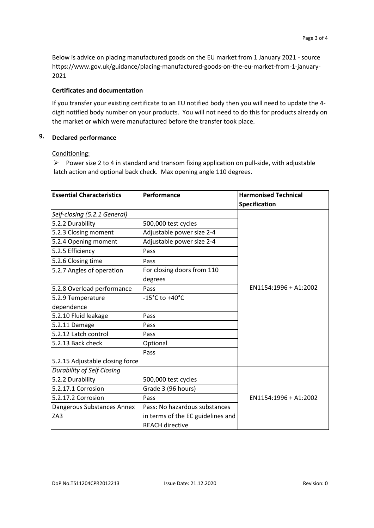Below is advice on placing manufactured goods on the EU market from 1 January 2021 - source https://www.gov.uk/guidance/placing-manufactured-goods-on-the-eu-market-from-1-january-2021

#### **Certificates and documentation**

If you transfer your existing certificate to an EU notified body then you will need to update the 4 digit notified body number on your products. You will not need to do this for products already on the market or which were manufactured before the transfer took place.

## **9. Declared performance**

#### Conditioning:

➢ Power size 2 to 4 in standard and transom fixing application on pull-side, with adjustable latch action and optional back check. Max opening angle 110 degrees.

| <b>Essential Characteristics</b>  | Performance                           | <b>Harmonised Technical</b> |
|-----------------------------------|---------------------------------------|-----------------------------|
|                                   |                                       | <b>Specification</b>        |
| Self-closing (5.2.1 General)      |                                       |                             |
| 5.2.2 Durability                  | 500,000 test cycles                   |                             |
| 5.2.3 Closing moment              | Adjustable power size 2-4             |                             |
| 5.2.4 Opening moment              | Adjustable power size 2-4             |                             |
| 5.2.5 Efficiency                  | Pass                                  |                             |
| 5.2.6 Closing time                | Pass                                  |                             |
| 5.2.7 Angles of operation         | For closing doors from 110<br>degrees |                             |
| 5.2.8 Overload performance        | Pass                                  | EN1154:1996 + A1:2002       |
| 5.2.9 Temperature                 | -15°C to +40°C                        |                             |
| dependence                        |                                       |                             |
| 5.2.10 Fluid leakage              | Pass                                  |                             |
| 5.2.11 Damage                     | Pass                                  |                             |
| 5.2.12 Latch control              | Pass                                  |                             |
| 5.2.13 Back check                 | Optional                              |                             |
|                                   | Pass                                  |                             |
| 5.2.15 Adjustable closing force   |                                       |                             |
| <b>Durability of Self Closing</b> |                                       |                             |
| 5.2.2 Durability                  | 500,000 test cycles                   |                             |
| 5.2.17.1 Corrosion                | Grade 3 (96 hours)                    |                             |
| 5.2.17.2 Corrosion                | Pass                                  | EN1154:1996 + A1:2002       |
| Dangerous Substances Annex        | Pass: No hazardous substances         |                             |
| ZA3                               | in terms of the EC guidelines and     |                             |
|                                   | <b>REACH directive</b>                |                             |